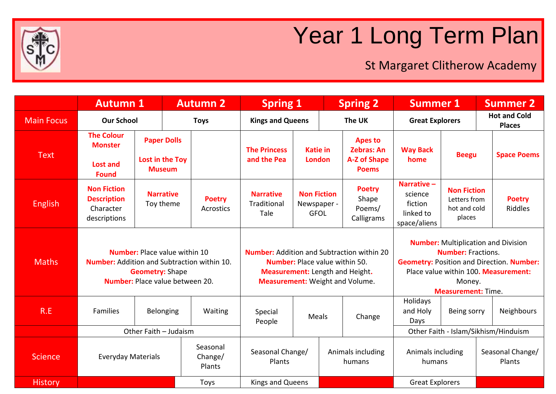

## Year 1 Long Term Plan

St Margaret Clitherow Academy

|                   | <b>Autumn 1</b>                                                                                                                                                |                                       | <b>Autumn 2</b> |                                   | <b>Spring 1</b>                                                                                                                                                                |                                                  | <b>Spring 2</b> |                                                            | <b>Summer 1</b>                                                                                                                                                                                            |                                                              | <b>Summer 2</b>                      |                          |
|-------------------|----------------------------------------------------------------------------------------------------------------------------------------------------------------|---------------------------------------|-----------------|-----------------------------------|--------------------------------------------------------------------------------------------------------------------------------------------------------------------------------|--------------------------------------------------|-----------------|------------------------------------------------------------|------------------------------------------------------------------------------------------------------------------------------------------------------------------------------------------------------------|--------------------------------------------------------------|--------------------------------------|--------------------------|
| <b>Main Focus</b> | <b>Our School</b>                                                                                                                                              |                                       | <b>Toys</b>     |                                   | <b>Kings and Queens</b>                                                                                                                                                        |                                                  | The UK          |                                                            | <b>Great Explorers</b>                                                                                                                                                                                     |                                                              | <b>Hot and Cold</b><br><b>Places</b> |                          |
| <b>Text</b>       | <b>The Colour</b><br><b>Monster</b>                                                                                                                            | <b>Paper Dolls</b><br>Lost in the Toy |                 |                                   | <b>The Princess</b><br>and the Pea                                                                                                                                             | <b>Katie in</b><br><b>London</b>                 |                 | <b>Apes to</b><br><b>Zebras: An</b><br><b>A-Z of Shape</b> | <b>Way Back</b><br><b>Beegu</b><br>home                                                                                                                                                                    |                                                              | <b>Space Poems</b>                   |                          |
|                   | <b>Lost and</b><br><b>Found</b>                                                                                                                                |                                       | <b>Museum</b>   |                                   |                                                                                                                                                                                |                                                  | <b>Poems</b>    |                                                            |                                                                                                                                                                                                            |                                                              |                                      |                          |
| <b>English</b>    | <b>Non Fiction</b><br><b>Description</b><br>Character<br>descriptions                                                                                          | <b>Narrative</b><br>Toy theme         |                 | <b>Poetry</b><br><b>Acrostics</b> | <b>Narrative</b><br>Traditional<br>Tale                                                                                                                                        | <b>Non Fiction</b><br>Newspaper -<br><b>GFOL</b> |                 | <b>Poetry</b><br>Shape<br>Poems/<br>Calligrams             | Narrative-<br>science<br>fiction<br>linked to<br>space/aliens                                                                                                                                              | <b>Non Fiction</b><br>Letters from<br>hot and cold<br>places |                                      | <b>Poetry</b><br>Riddles |
| <b>Maths</b>      | <b>Number:</b> Place value within 10<br><b>Number:</b> Addition and Subtraction within 10.<br><b>Geometry: Shape</b><br><b>Number:</b> Place value between 20. |                                       |                 |                                   | <b>Number:</b> Addition and Subtraction within 20<br><b>Number:</b> Place value within 50.<br><b>Measurement:</b> Length and Height.<br><b>Measurement:</b> Weight and Volume. |                                                  |                 |                                                            | <b>Number:</b> Multiplication and Division<br><b>Number: Fractions.</b><br><b>Geometry: Position and Direction. Number:</b><br>Place value within 100. Measurement:<br>Money.<br><b>Measurement: Time.</b> |                                                              |                                      |                          |
| R.E               | <b>Families</b>                                                                                                                                                | <b>Belonging</b>                      |                 | Waiting                           | Special<br>People                                                                                                                                                              | Meals                                            | Change          |                                                            | Holidays<br>and Holy<br>Days                                                                                                                                                                               | Being sorry                                                  |                                      | Neighbours               |
|                   | Other Faith - Judaism                                                                                                                                          |                                       |                 |                                   |                                                                                                                                                                                |                                                  |                 | Other Faith - Islam/Sikhism/Hinduism                       |                                                                                                                                                                                                            |                                                              |                                      |                          |
| <b>Science</b>    |                                                                                                                                                                | <b>Everyday Materials</b>             |                 | Seasonal<br>Change/<br>Plants     | Seasonal Change/<br>Plants                                                                                                                                                     |                                                  |                 | Animals including<br>humans                                | Animals including<br>humans                                                                                                                                                                                |                                                              | Seasonal Change/<br>Plants           |                          |
| <b>History</b>    |                                                                                                                                                                |                                       |                 | Toys                              | Kings and Queens                                                                                                                                                               |                                                  |                 |                                                            | <b>Great Explorers</b>                                                                                                                                                                                     |                                                              |                                      |                          |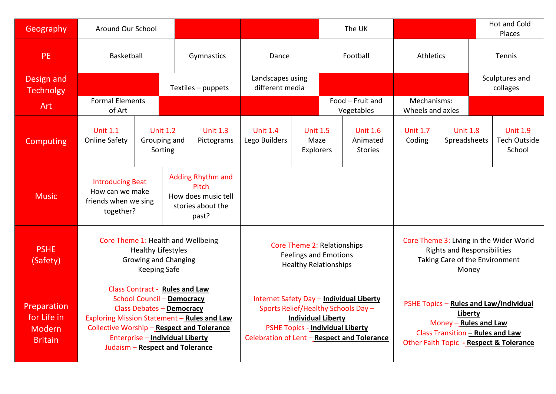| Geography                                                     | Around Our School                                                                                                                                                                                                                                                                               |  |                                            |                                                                                        |                                                                                                                                                                                                 |                                             | The UK                                        |  |                                                                                                                                                                  |                                 | <b>Hot and Cold</b><br>Places |                                                  |
|---------------------------------------------------------------|-------------------------------------------------------------------------------------------------------------------------------------------------------------------------------------------------------------------------------------------------------------------------------------------------|--|--------------------------------------------|----------------------------------------------------------------------------------------|-------------------------------------------------------------------------------------------------------------------------------------------------------------------------------------------------|---------------------------------------------|-----------------------------------------------|--|------------------------------------------------------------------------------------------------------------------------------------------------------------------|---------------------------------|-------------------------------|--------------------------------------------------|
| <b>PE</b>                                                     | Basketball                                                                                                                                                                                                                                                                                      |  |                                            | Gymnastics                                                                             | Dance                                                                                                                                                                                           |                                             | Football                                      |  | Athletics                                                                                                                                                        |                                 | Tennis                        |                                                  |
| Design and<br><b>Technolgy</b>                                |                                                                                                                                                                                                                                                                                                 |  |                                            | Textiles - puppets                                                                     | Landscapes using<br>different media                                                                                                                                                             |                                             |                                               |  |                                                                                                                                                                  |                                 | Sculptures and<br>collages    |                                                  |
| <b>Art</b>                                                    | <b>Formal Elements</b><br>of Art                                                                                                                                                                                                                                                                |  |                                            |                                                                                        |                                                                                                                                                                                                 |                                             | Food - Fruit and<br>Vegetables                |  | Mechanisms:<br>Wheels and axles                                                                                                                                  |                                 |                               |                                                  |
| Computing                                                     | <b>Unit 1.1</b><br><b>Online Safety</b>                                                                                                                                                                                                                                                         |  | <b>Unit 1.2</b><br>Grouping and<br>Sorting | <b>Unit 1.3</b><br>Pictograms                                                          | <b>Unit 1.4</b><br>Lego Builders                                                                                                                                                                | <b>Unit 1.5</b><br>Maze<br><b>Explorers</b> | <b>Unit 1.6</b><br>Animated<br><b>Stories</b> |  | <b>Unit 1.7</b><br>Coding                                                                                                                                        | <b>Unit 1.8</b><br>Spreadsheets |                               | <b>Unit 1.9</b><br><b>Tech Outside</b><br>School |
| <b>Music</b>                                                  | <b>Introducing Beat</b><br>How can we make<br>friends when we sing<br>together?                                                                                                                                                                                                                 |  |                                            | <b>Adding Rhythm and</b><br>Pitch<br>How does music tell<br>stories about the<br>past? |                                                                                                                                                                                                 |                                             |                                               |  |                                                                                                                                                                  |                                 |                               |                                                  |
| <b>PSHE</b><br>(Safety)                                       | Core Theme 1: Health and Wellbeing<br><b>Healthy Lifestyles</b><br><b>Growing and Changing</b><br><b>Keeping Safe</b>                                                                                                                                                                           |  |                                            |                                                                                        | Core Theme 2: Relationships<br><b>Feelings and Emotions</b><br><b>Healthy Relationships</b>                                                                                                     |                                             |                                               |  | Core Theme 3: Living in the Wider World<br><b>Rights and Responsibilities</b><br>Taking Care of the Environment<br>Money                                         |                                 |                               |                                                  |
| Preparation<br>for Life in<br><b>Modern</b><br><b>Britain</b> | <b>Class Contract - Rules and Law</b><br><b>School Council - Democracy</b><br><b>Class Debates - Democracy</b><br>Exploring Mission Statement - Rules and Law<br><b>Collective Worship - Respect and Tolerance</b><br><b>Enterprise - Individual Liberty</b><br>Judaism - Respect and Tolerance |  |                                            |                                                                                        | Internet Safety Day - Individual Liberty<br>Sports Relief/Healthy Schools Day -<br><b>Individual Liberty</b><br>PSHE Topics - Individual Liberty<br>Celebration of Lent - Respect and Tolerance |                                             |                                               |  | PSHE Topics - Rules and Law/Individual<br>Liberty<br>Money - Rules and Law<br><b>Class Transition - Rules and Law</b><br>Other Faith Topic - Respect & Tolerance |                                 |                               |                                                  |